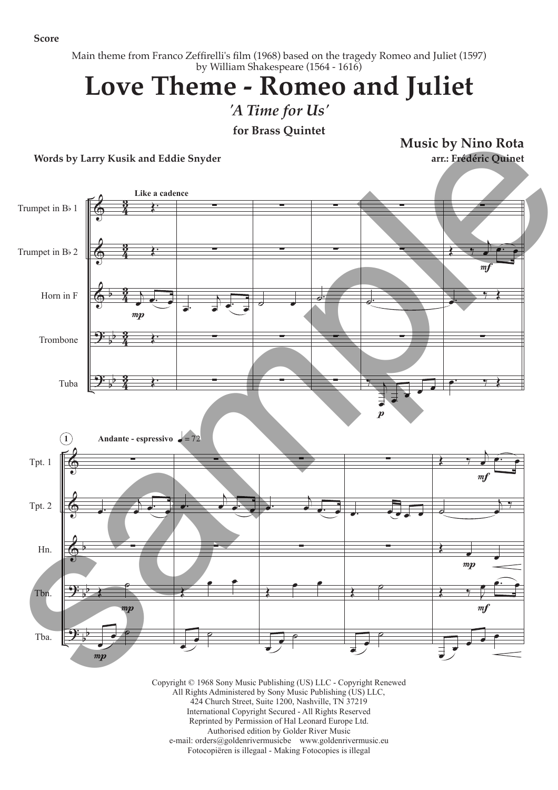**Score**

Main theme from Franco Zeffirelli's film (1968) based on the tragedy Romeo and Juliet (1597) by William Shakespeare (1564 - 1616)

## **Love Theme - Romeo and Juliet**

*'A Time for Us'*

**for Brass Quintet**

**Words by Larry Kusik and Eddie Snyder**

**Music by Nino Rota arr.: Frédéric Quinet**



Copyright © 1968 Sony Music Publishing (US) LLC - Copyright Renewed All Rights Administered by Sony Music Publishing (US) LLC, 424 Church Street, Suite 1200, Nashville, TN 37219 International Copyright Secured - All Rights Reserved Reprinted by Permission of Hal Leonard Europe Ltd. Authorised edition by Golder River Music e-mail: orders@goldenrivermusicbe www.goldenrivermusic.eu Fotocopiëren is illegaal - Making Fotocopies is illegal